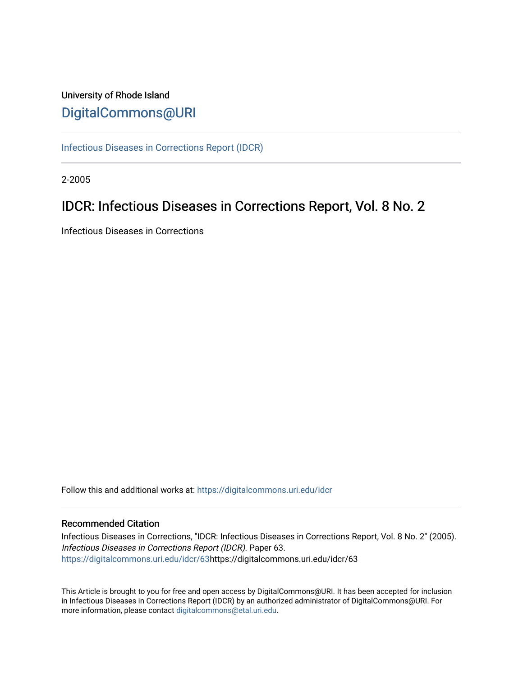### University of Rhode Island [DigitalCommons@URI](https://digitalcommons.uri.edu/)

[Infectious Diseases in Corrections Report \(IDCR\)](https://digitalcommons.uri.edu/idcr)

2-2005

## IDCR: Infectious Diseases in Corrections Report, Vol. 8 No. 2

Infectious Diseases in Corrections

Follow this and additional works at: [https://digitalcommons.uri.edu/idcr](https://digitalcommons.uri.edu/idcr?utm_source=digitalcommons.uri.edu%2Fidcr%2F63&utm_medium=PDF&utm_campaign=PDFCoverPages)

### Recommended Citation

Infectious Diseases in Corrections, "IDCR: Infectious Diseases in Corrections Report, Vol. 8 No. 2" (2005). Infectious Diseases in Corrections Report (IDCR). Paper 63. [https://digitalcommons.uri.edu/idcr/63h](https://digitalcommons.uri.edu/idcr/63?utm_source=digitalcommons.uri.edu%2Fidcr%2F63&utm_medium=PDF&utm_campaign=PDFCoverPages)ttps://digitalcommons.uri.edu/idcr/63

This Article is brought to you for free and open access by DigitalCommons@URI. It has been accepted for inclusion in Infectious Diseases in Corrections Report (IDCR) by an authorized administrator of DigitalCommons@URI. For more information, please contact [digitalcommons@etal.uri.edu.](mailto:digitalcommons@etal.uri.edu)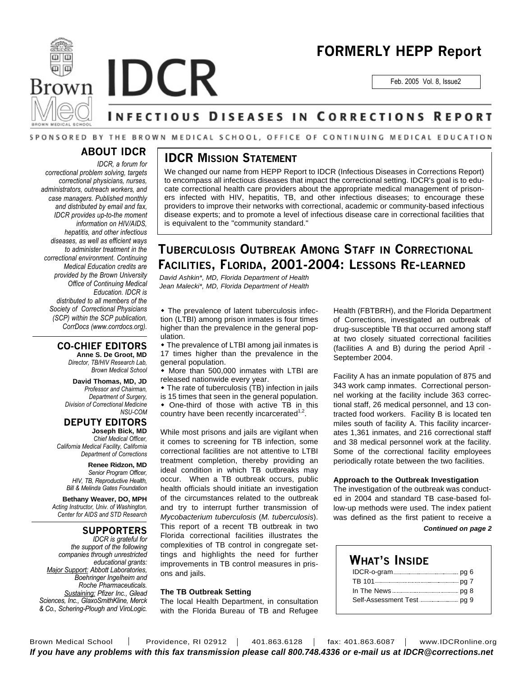



**Brown IDCR** 

Feb. 2005 Vol. 8, Issue2

## NFECTIOUS DISEASES IN CORRECTIONS REPORT

### SPONSORED BY THE BROWN MEDICAL SCHOOL, OFFICE OF CONTINUING MEDICAL EDUCATION

### **ABOUT IDCR**

*IDCR, a forum for correctional problem solving, targets correctional physicians, nurses, administrators, outreach workers, and case managers. Published monthly and distributed by email and fax, IDCR provides up-to-the moment information on HIV/AIDS, hepatitis, and other infectious diseases, as well as efficient ways to administer treatment in the correctional environment. Continuing Medical Education credits are provided by the Brown University Office of Continuing Medical Education. IDCR is distributed to all members of the Society of Correctional Physicians (SCP) within the SCP publication, CorrDocs (www.corrdocs.org).*

### **CO-CHIEF EDITORS**

**Anne S. De Groot, MD** *Director, TB/HIV Research Lab, Brown Medical School*

**David Thomas, MD, JD** *Professor and Chairman, Department of Surgery, Division of Correctional Medicine NSU-COM*

### **DEPUTY EDITORS**

**Joseph Bick, MD** *Chief Medical Officer, California Medical Facility, California Department of Corrections*

> **Renee Ridzon, MD** *Senior Program Officer, HIV, TB, Reproductive Health, Bill & Melinda Gates Foundation*

**Bethany Weaver, DO, MPH** *Acting Instructor, Univ. of Washington, Center for AIDS and STD Research*

### **SUPPORTERS**

*IDCR is grateful for the support of the following companies through unrestricted educational grants: Major Support: Abbott Laboratories, Boehringer Ingelheim and Roche Pharmaceuticals. Sustaining: Pfizer Inc., Gilead Sciences, Inc., GlaxoSmithKline, Merck & Co., Schering-Plough and ViroLogic.*

### **IDCR MISSION STATEMENT**

We changed our name from HEPP Report to IDCR (Infectious Diseases in Corrections Report) to encompass all infectious diseases that impact the correctional setting. IDCR's goal is to educate correctional health care providers about the appropriate medical management of prisoners infected with HIV, hepatitis, TB, and other infectious diseases; to encourage these providers to improve their networks with correctional, academic or community-based infectious disease experts; and to promote a level of infectious disease care in correctional facilities that is equivalent to the "community standard."

### **TUBERCULOSIS OUTBREAK AMONG STAFF IN CORRECTIONAL FACILITIES, FLORIDA, 2001-2004: LESSONS RE-LEARNED**

*David Ashkin\*, MD, Florida Department of Health Jean Malecki\*, MD, Florida Department of Health*

• The prevalence of latent tuberculosis infection (LTBI) among prison inmates is four times higher than the prevalence in the general population.

• The prevalence of LTBI among jail inmates is 17 times higher than the prevalence in the general population.

 $\bullet$  More than 500,000 inmates with LTBI are released nationwide every year.

 $\bullet$  The rate of tuberculosis (TB) infection in jails is 15 times that seen in the general population.

• One-third of those with active TB in this country have been recently incarcerated $1,2$ .

While most prisons and jails are vigilant when it comes to screening for TB infection, some correctional facilities are not attentive to LTBI treatment completion, thereby providing an ideal condition in which TB outbreaks may occur. When a TB outbreak occurs, public health officials should initiate an investigation of the circumstances related to the outbreak and try to interrupt further transmission of *Mycobacterium tuberculosis* (*M. tuberculosis*). This report of a recent TB outbreak in two Florida correctional facilities illustrates the complexities of TB control in congregate settings and highlights the need for further improvements in TB control measures in prisons and jails.

### **The TB Outbreak Setting**

The local Health Department, in consultation with the Florida Bureau of TB and Refugee Health (FBTBRH), and the Florida Department of Corrections, investigated an outbreak of drug-susceptible TB that occurred among staff at two closely situated correctional facilities (facilities A and B) during the period April - September 2004.

Facility A has an inmate population of 875 and 343 work camp inmates. Correctional personnel working at the facility include 363 correctional staff, 26 medical personnel, and 13 contracted food workers. Facility B is located ten miles south of facility A. This facility incarcerates 1,361 inmates, and 216 correctional staff and 38 medical personnel work at the facility. Some of the correctional facility employees periodically rotate between the two facilities.

#### **Approach to the Outbreak Investigation**

The investigation of the outbreak was conducted in 2004 and standard TB case-based follow-up methods were used. The index patient was defined as the first patient to receive a

#### *Continued on page 2*

### **WHAT'S INSIDE** IDCR-o-gram pg 6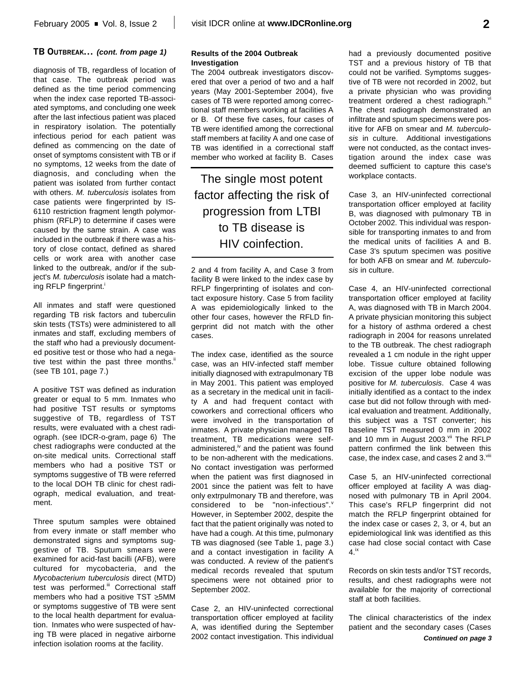### **TB OUTBREAK...** *(cont. from page 1)*

diagnosis of TB, regardless of location of that case. The outbreak period was defined as the time period commencing when the index case reported TB-associated symptoms, and concluding one week after the last infectious patient was placed in respiratory isolation. The potentially infectious period for each patient was defined as commencing on the date of onset of symptoms consistent with TB or if no symptoms, 12 weeks from the date of diagnosis, and concluding when the patient was isolated from further contact with others. *M. tuberculosis* isolates from case patients were fingerprinted by IS-6110 restriction fragment length polymorphism (RFLP) to determine if cases were caused by the same strain. A case was included in the outbreak if there was a history of close contact, defined as shared cells or work area with another case linked to the outbreak, and/or if the subject's *M. tuberculosis* isolate had a matching RFLP fingerprint.<sup>i</sup>

All inmates and staff were questioned regarding TB risk factors and tuberculin skin tests (TSTs) were administered to all inmates and staff, excluding members of the staff who had a previously documented positive test or those who had a negative test within the past three months.<sup>"</sup> (see TB 101, page 7.)

A positive TST was defined as induration greater or equal to 5 mm. Inmates who had positive TST results or symptoms suggestive of TB, regardless of TST results, were evaluated with a chest radiograph. (see IDCR-o-gram, page 6) The chest radiographs were conducted at the on-site medical units. Correctional staff members who had a positive TST or symptoms suggestive of TB were referred to the local DOH TB clinic for chest radiograph, medical evaluation, and treatment.

Three sputum samples were obtained from every inmate or staff member who demonstrated signs and symptoms suggestive of TB. Sputum smears were examined for acid-fast bacilli (AFB), were cultured for mycobacteria, and the *Mycobacterium tuberculosis* direct (MTD) test was performed.<sup>iii</sup> Correctional staff members who had a positive TST ≥5MM or symptoms suggestive of TB were sent to the local health department for evaluation. Inmates who were suspected of having TB were placed in negative airborne infection isolation rooms at the facility.

#### **Results of the 2004 Outbreak Investigation**

The 2004 outbreak investigators discovered that over a period of two and a half years (May 2001-September 2004), five cases of TB were reported among correctional staff members working at facilities A or B. Of these five cases, four cases of TB were identified among the correctional staff members at facility A and one case of TB was identified in a correctional staff member who worked at facility B. Cases

The single most potent factor affecting the risk of progression from LTBI to TB disease is HIV coinfection.

2 and 4 from facility A, and Case 3 from facility B were linked to the index case by RFLP fingerprinting of isolates and contact exposure history. Case 5 from facility A was epidemiologically linked to the other four cases, however the RFLD fingerprint did not match with the other cases.

The index case, identified as the source case, was an HIV-infected staff member initially diagnosed with extrapulmonary TB in May 2001. This patient was employed as a secretary in the medical unit in facility A and had frequent contact with coworkers and correctional officers who were involved in the transportation of inmates. A private physician managed TB treatment, TB medications were selfadministered,<sup>iv</sup> and the patient was found to be non-adherent with the medications. No contact investigation was performed when the patient was first diagnosed in 2001 since the patient was felt to have only extrpulmonary TB and therefore, was considered to be "non-infectious". However, in September 2002, despite the fact that the patient originally was noted to have had a cough. At this time, pulmonary TB was diagnosed (see Table 1, page 3.) and a contact investigation in facility A was conducted. A review of the patient's medical records revealed that sputum specimens were not obtained prior to September 2002.

Case 2, an HIV-uninfected correctional transportation officer employed at facility A, was identified during the September 2002 contact investigation. This individual had a previously documented positive TST and a previous history of TB that could not be varified. Symptoms suggestive of TB were not recorded in 2002, but a private physician who was providing treatment ordered a chest radiograph.<sup>vi</sup> The chest radiograph demonstrated an infiltrate and sputum specimens were positive for AFB on smear and *M. tuberculosis* in culture. Additional investigations were not conducted, as the contact investigation around the index case was deemed sufficient to capture this case's workplace contacts.

Case 3, an HIV-uninfected correctional transportation officer employed at facility B, was diagnosed with pulmonary TB in October 2002. This individual was responsible for transporting inmates to and from the medical units of facilities A and B. Case 3's sputum specimen was positive for both AFB on smear and *M. tuberculosis* in culture.

Case 4, an HIV-uninfected correctional transportation officer employed at facility A, was diagnosed with TB in March 2004. A private physician monitoring this subject for a history of asthma ordered a chest radiograph in 2004 for reasons unrelated to the TB outbreak. The chest radiograph revealed a 1 cm nodule in the right upper lobe. Tissue culture obtained following excision of the upper lobe nodule was positive for *M. tuberculosis*. Case 4 was initially identified as a contact to the index case but did not follow through with medical evaluation and treatment. Additionally, this subject was a TST converter; his baseline TST measured 0 mm in 2002 and 10 mm in August 2003.<sup>vii</sup> The RFLP pattern confirmed the link between this case, the index case, and cases 2 and 3.<sup>viii</sup>

Case 5, an HIV-uninfected correctional officer employed at facility A was diagnosed with pulmonary TB in April 2004. This case's RFLP fingerprint did not match the RFLP fingerprint obtained for the index case or cases 2, 3, or 4, but an epidemiological link was identified as this case had close social contact with Case 4. ix

Records on skin tests and/or TST records, results, and chest radiographs were not available for the majority of correctional staff at both facilities.

The clinical characteristics of the index patient and the secondary cases (Cases *Continued on page 3*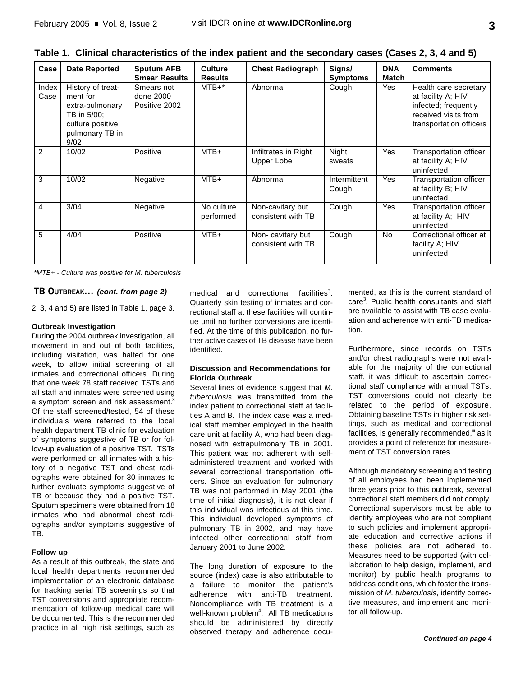|   | I  |                   |
|---|----|-------------------|
|   | ۰. |                   |
| × | M. | ٦<br>I<br>٠<br>۰. |

| Table 1. Clinical characteristics of the index patient and the secondary cases (Cases 2, 3, 4 and 5) |  |
|------------------------------------------------------------------------------------------------------|--|
|------------------------------------------------------------------------------------------------------|--|

| Case          | <b>Date Reported</b>                                                                                           | <b>Sputum AFB</b><br><b>Smear Results</b> | <b>Culture</b><br><b>Results</b> | <b>Chest Radiograph</b>                | Signs/<br><b>Symptoms</b> | <b>DNA</b><br>Match | <b>Comments</b>                                                                                                        |
|---------------|----------------------------------------------------------------------------------------------------------------|-------------------------------------------|----------------------------------|----------------------------------------|---------------------------|---------------------|------------------------------------------------------------------------------------------------------------------------|
| Index<br>Case | History of treat-<br>ment for<br>extra-pulmonary<br>TB in 5/00:<br>culture positive<br>pulmonary TB in<br>9/02 | Smears not<br>done 2000<br>Positive 2002  | $MTB+*$                          | Abnormal                               | Cough                     | Yes                 | Health care secretary<br>at facility A; HIV<br>infected; frequently<br>received visits from<br>transportation officers |
| 2             | 10/02                                                                                                          | Positive                                  | MTB+                             | Infiltrates in Right<br>Upper Lobe     | Night<br>sweats           | Yes                 | Transportation officer<br>at facility A; HIV<br>uninfected                                                             |
| 3             | 10/02                                                                                                          | Negative                                  | MTB+                             | Abnormal                               | Intermittent<br>Cough     | Yes                 | <b>Transportation officer</b><br>at facility B; HIV<br>uninfected                                                      |
| 4             | 3/04                                                                                                           | Negative                                  | No culture<br>performed          | Non-cavitary but<br>consistent with TB | Cough                     | Yes                 | Transportation officer<br>at facility A; HIV<br>uninfected                                                             |
| 5             | 4/04                                                                                                           | Positive                                  | $MTB+$                           | Non-cavitary but<br>consistent with TB | Cough                     | No.                 | Correctional officer at<br>facility A; HIV<br>uninfected                                                               |

*\*MTB+ - Culture was positive for M. tuberculosis*

### **TB OUTBREAK...** *(cont. from page 2)*

2, 3, 4 and 5) are listed in Table 1, page 3.

#### **Outbreak Investigation**

During the 2004 outbreak investigation, all movement in and out of both facilities, including visitation, was halted for one week, to allow initial screening of all inmates and correctional officers. During that one week 78 staff received TSTs and all staff and inmates were screened using a symptom screen and risk assessment.<sup>x</sup> Of the staff screened/tested, 54 of these individuals were referred to the local health department TB clinic for evaluation of symptoms suggestive of TB or for follow-up evaluation of a positive TST. TSTs were performed on all inmates with a history of a negative TST and chest radiographs were obtained for 30 inmates to further evaluate symptoms suggestive of TB or because they had a positive TST. Sputum specimens were obtained from 18 inmates who had abnormal chest radiographs and/or symptoms suggestive of TB.

### **Follow up**

As a result of this outbreak, the state and local health departments recommended implementation of an electronic database for tracking serial TB screenings so that TST conversions and appropriate recommendation of follow-up medical care will be documented. This is the recommended practice in all high risk settings, such as

medical and correctional facilities<sup>3</sup>. Quarterly skin testing of inmates and correctional staff at these facilities will continue until no further conversions are identified. At the time of this publication, no further active cases of TB disease have been identified.

#### **Discussion and Recommendations for Florida Outbreak**

Several lines of evidence suggest that *M. tuberculosis* was transmitted from the index patient to correctional staff at facilities A and B. The index case was a medical staff member employed in the health care unit at facility A, who had been diagnosed with extrapulmonary TB in 2001. This patient was not adherent with selfadministered treatment and worked with several correctional transportation officers. Since an evaluation for pulmonary TB was not performed in May 2001 (the time of initial diagnosis), it is not clear if this individual was infectious at this time. This individual developed symptoms of pulmonary TB in 2002, and may have infected other correctional staff from January 2001 to June 2002.

The long duration of exposure to the source (index) case is also attributable to a failure to monitor the patient's adherence with anti-TB treatment. Noncompliance with TB treatment is a well-known problem<sup>4</sup>. All TB medications should be administered by directly observed therapy and adherence documented, as this is the current standard of care 3 . Public health consultants and staff are available to assist with TB case evaluation and adherence with anti-TB medication.

Furthermore, since records on TSTs and/or chest radiographs were not available for the majority of the correctional staff, it was difficult to ascertain correctional staff compliance with annual TSTs. TST conversions could not clearly be related to the period of exposure. Obtaining baseline TSTs in higher risk settings, such as medical and correctional facilities, is generally recommended,<sup>ii</sup> as it provides a point of reference for measurement of TST conversion rates.

Although mandatory screening and testing of all employees had been implemented three years prior to this outbreak, several correctional staff members did not comply. Correctional supervisors must be able to identify employees who are not compliant to such policies and implement appropriate education and corrective actions if these policies are not adhered to. Measures need to be supported (with collaboration to help design, implement, and monitor) by public health programs to address conditions, which foster the transmission of *M. tuberculosis*, identify corrective measures, and implement and monitor all follow-up.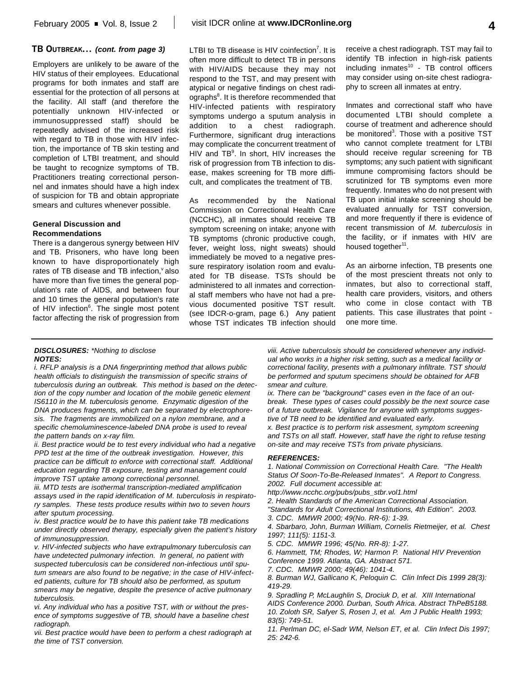### **TB OUTBREAK...** *(cont. from page 3)*

Employers are unlikely to be aware of the HIV status of their employees. Educational programs for both inmates and staff are essential for the protection of all persons at the facility. All staff (and therefore the potentially unknown HIV-infected or immunosuppressed staff) should be repeatedly advised of the increased risk with regard to TB in those with HIV infection, the importance of TB skin testing and completion of LTBI treatment, and should be taught to recognize symptoms of TB. Practitioners treating correctional personnel and inmates should have a high index of suspicion for TB and obtain appropriate smears and cultures whenever possible.

### **General Discussion and Recommendations**

There is a dangerous synergy between HIV and TB. Prisoners, who have long been known to have disproportionately high rates of TB disease and TB infection, also have more than five times the general population's rate of AIDS, and between four and 10 times the general population's rate of HIV infection<sup>6</sup>. The single most potent factor affecting the risk of progression from

LTBI to TB disease is HIV coinfection<sup>7</sup>. It is often more difficult to detect TB in persons with HIV/AIDS because they may not respond to the TST, and may present with atypical or negative findings on chest radiographs<sup>8</sup>. It is therefore recommended that HIV-infected patients with respiratory symptoms undergo a sputum analysis in addition to a chest radiograph. Furthermore, significant drug interactions may complicate the concurrent treatment of HIV and TB<sup>9</sup>. In short, HIV increases the risk of progression from TB infection to disease, makes screening for TB more difficult, and complicates the treatment of TB.

As recommended by the National Commission on Correctional Health Care (NCCHC), all inmates should receive TB symptom screening on intake; anyone with TB symptoms (chronic productive cough, fever, weight loss, night sweats) should immediately be moved to a negative pressure respiratory isolation room and evaluated for TB disease. TSTs should be administered to all inmates and correctional staff members who have not had a previous documented positive TST result. (see IDCR-o-gram, page 6.) Any patient whose TST indicates TB infection should

receive a chest radiograph. TST may fail to identify TB infection in high-risk patients including inmates<sup>10</sup> - TB control officers may consider using on-site chest radiography to screen all inmates at entry.

Inmates and correctional staff who have documented LTBI should complete a course of treatment and adherence should be monitored<sup>3</sup>. Those with a positive TST who cannot complete treatment for LTBI should receive regular screening for TB symptoms; any such patient with significant immune compromising factors should be scrutinized for TB symptoms even more frequently. Inmates who do not present with TB upon initial intake screening should be evaluated annually for TST conversion, and more frequently if there is evidence of recent transmission of *M. tuberculosis* in the facility, or if inmates with HIV are housed together<sup>11</sup>.

As an airborne infection, TB presents one of the most prescient threats not only to inmates, but also to correctional staff, health care providers, visitors, and others who come in close contact with TB patients. This case illustrates that point one more time.

#### *DISCLOSURES: \*Nothing to disclose NOTES:*

*i. RFLP analysis is a DNA fingerprinting method that allows public health officials to distinguish the transmission of specific strains of tuberculosis during an outbreak. This method is based on the detection of the copy number and location of the mobile genetic element IS6110 in the M. tuberculosis genome. Enzymatic digestion of the DNA produces fragments, which can be separated by electrophoresis. The fragments are immobilized on a nylon membrane, and a specific chemoluminescence-labeled DNA probe is used to reveal the pattern bands on x-ray film.*

*ii. Best practice would be to test every individual who had a negative PPD test at the time of the outbreak investigation. However, this practice can be difficult to enforce with correctional staff. Additional education regarding TB exposure, testing and management could improve TST uptake among correctional personnel.*

*iii. MTD tests are isothermal transcription-mediated amplification assays used in the rapid identification of M. tuberculosis in respiratory samples. These tests produce results within two to seven hours after sputum processing.*

*iv. Best practice would be to have this patient take TB medications under directly observed therapy, especially given the patient's history of immunosuppression.*

*v. HIV-infected subjects who have extrapulmonary tuberculosis can have undetected pulmonary infection. In general, no patient with suspected tuberculosis can be considered non-infectious until sputum smears are also found to be negative; in the case of HIV-infected patients, culture for TB should also be performed, as sputum smears may be negative, despite the presence of active pulmonary tuberculosis.*

*vi. Any individual who has a positive TST, with or without the presence of symptoms suggestive of TB, should have a baseline chest radiograph.*

*vii. Best practice would have been to perform a chest radiograph at the time of TST conversion.*

*viii. Active tuberculosis should be considered whenever any individual who works in a higher risk setting, such as a medical facility or correctional facility, presents with a pulmonary infiltrate. TST should be performed and sputum specimens should be obtained for AFB smear and culture.*

*ix. There can be "background" cases even in the face of an outbreak. These types of cases could possibly be the next source case of a future outbreak. Vigilance for anyone with symptoms suggestive of TB need to be identified and evaluated early.*

*x. Best practice is to perform risk assesment, symptom screening and TSTs on all staff. However, staff have the right to refuse testing on-site and may receive TSTs from private physicians.*

#### *REFERENCES:*

*1. National Commission on Correctional Health Care. "The Health Status Of Soon-To-Be-Released Inmates". A Report to Congress. 2002. Full document accessible at:*

*http://www.ncchc.org/pubs/pubs\_stbr.vol1.html*

*2. Health Standards of the American Correctional Association.*

*"Standards for Adult Correctional Institutions, 4th Edition". 2003. 3. CDC. MMWR 2000; 49(No. RR-6): 1-39.*

*4. Sbarbaro, John, Burman William, Cornelis Rietmeijer, et al. Chest 1997; 111(5): 1151-3.* 

*5. CDC. MMWR 1996; 45(No. RR-8): 1-27.*

*6. Hammett, TM; Rhodes, W; Harmon P. National HIV Prevention Conference 1999. Atlanta, GA. Abstract 571.*

*7. CDC. MMWR 2000; 49(46): 1041-4.*

*8. Burman WJ, Gallicano K, Peloquin C. Clin Infect Dis 1999 28(3): 419-29.* 

*9. Spradling P, McLaughlin S, Drociuk D, et al. XIII International AIDS Conference 2000. Durban, South Africa. Abstract ThPeB5188. 10. Zoloth SR, Safyer S, Rosen J, et al. Am J Public Health 1993; 83(5): 749-51.*

*11. Perlman DC, el-Sadr WM, Nelson ET, et al. Clin Infect Dis 1997; 25: 242-6.*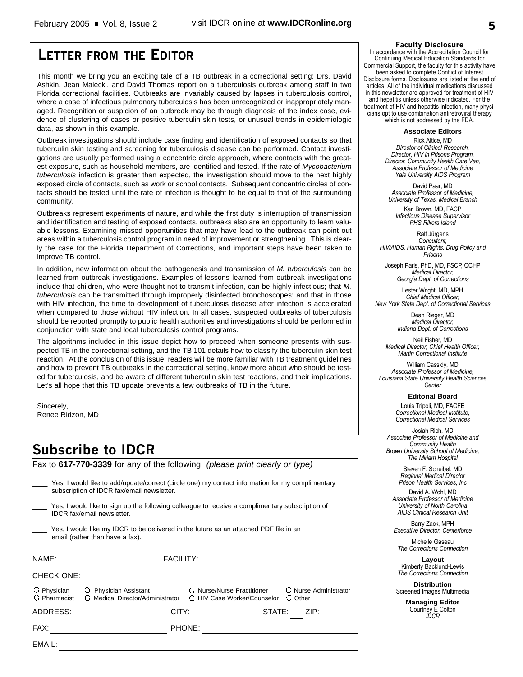### **LETTER FROM THE EDITOR**

This month we bring you an exciting tale of a TB outbreak in a correctional setting; Drs. David Ashkin, Jean Malecki, and David Thomas report on a tuberculosis outbreak among staff in two Florida correctional facilities. Outbreaks are invariably caused by lapses in tuberculosis control, where a case of infectious pulmonary tuberculosis has been unrecognized or inappropriately managed. Recognition or suspicion of an outbreak may be through diagnosis of the index case, evidence of clustering of cases or positive tuberculin skin tests, or unusual trends in epidemiologic data, as shown in this example.

Outbreak investigations should include case finding and identification of exposed contacts so that tuberculin skin testing and screening for tuberculosis disease can be performed. Contact investigations are usually performed using a concentric circle approach, where contacts with the greatest exposure, such as household members, are identified and tested. If the rate of *Mycobacterium tuberculosis* infection is greater than expected, the investigation should move to the next highly exposed circle of contacts, such as work or school contacts. Subsequent concentric circles of contacts should be tested until the rate of infection is thought to be equal to that of the surrounding community.

Outbreaks represent experiments of nature, and while the first duty is interruption of transmission and identification and testing of exposed contacts, outbreaks also are an opportunity to learn valuable lessons. Examining missed opportunities that may have lead to the outbreak can point out areas within a tuberculosis control program in need of improvement or strengthening. This is clearly the case for the Florida Department of Corrections, and important steps have been taken to improve TB control.

In addition, new information about the pathogenesis and transmission of *M. tuberculosis* can be learned from outbreak investigations. Examples of lessons learned from outbreak investigations include that children, who were thought not to transmit infection, can be highly infectious; that *M. tuberculosis* can be transmitted through improperly disinfected bronchoscopes; and that in those with HIV infection, the time to development of tuberculosis disease after infection is accelerated when compared to those without HIV infection. In all cases, suspected outbreaks of tuberculosis should be reported promptly to public health authorities and investigations should be performed in conjunction with state and local tuberculosis control programs.

The algorithms included in this issue depict how to proceed when someone presents with suspected TB in the correctional setting, and the TB 101 details how to classify the tuberculin skin test reaction. At the conclusion of this issue, readers will be more familiar with TB treatment guidelines and how to prevent TB outbreaks in the correctional setting, know more about who should be tested for tuberculosis, and be aware of different tuberculin skin test reactions, and their implications. Let's all hope that this TB update prevents a few outbreaks of TB in the future.

Sincerely, Renee Ridzon, MD

### **Subscribe to IDCR**

Fax to **617-770-3339** for any of the following: *(please print clearly or type)*

| EMAIL:                      |                                                                                                                                                |                  |                                                           |        |                                  |
|-----------------------------|------------------------------------------------------------------------------------------------------------------------------------------------|------------------|-----------------------------------------------------------|--------|----------------------------------|
| FAX:                        |                                                                                                                                                | PHONE:           |                                                           |        |                                  |
| ADDRESS:                    |                                                                                                                                                | CITY:            |                                                           | STATE: | ZIP:                             |
| O Physician<br>O Pharmacist | O Physician Assistant<br>O Medical Director/Administrator                                                                                      |                  | O Nurse/Nurse Practitioner<br>O HIV Case Worker/Counselor |        | O Nurse Administrator<br>O Other |
| <b>CHECK ONE:</b>           |                                                                                                                                                |                  |                                                           |        |                                  |
| NAME:                       |                                                                                                                                                | <b>FACILITY:</b> |                                                           |        |                                  |
|                             | Yes, I would like my IDCR to be delivered in the future as an attached PDF file in an<br>email (rather than have a fax).                       |                  |                                                           |        |                                  |
|                             | Yes, I would like to sign up the following colleague to receive a complimentary subscription of<br><b>IDCR</b> fax/email newsletter.           |                  |                                                           |        |                                  |
|                             | Yes, I would like to add/update/correct (circle one) my contact information for my complimentary<br>subscription of IDCR fax/email newsletter. |                  |                                                           |        |                                  |

#### **Faculty Disclosure**

In accordance with the Accreditation Council for Continuing Medical Education Standards for Commercial Support, the faculty for this activity have been asked to complete Conflict of Interest Disclosure forms. Disclosures are listed at the end of articles. All of the individual medications discussed in this newsletter are approved for treatment of HIV and hepatitis unless otherwise indicated. For the treatment of HIV and hepatitis infection, many physicians opt to use combination antiretroviral therapy which is not addressed by the FDA.

**Associate Editors**

Rick Altice, MD *Director of Clinical Research, Director, HIV in Prisons Program, Director, Community Health Care Van, Associate Professor of Medicine Yale University AIDS Program*

David Paar, MD *Associate Professor of Medicine, University of Texas, Medical Branch*

Karl Brown, MD, FACP *Infectious Disease Supervisor PHS-Rikers Island*

Ralf Jürgens *Consultant, HIV/AIDS, Human Rights, Drug Policy and Prisons*

Joseph Paris, PhD, MD, FSCP, CCHP *Medical Director, Georgia Dept. of Corrections*

Lester Wright, MD, MPH *Chief Medical Officer, New York State Dept. of Correctional Services*

> Dean Rieger, MD *Medical Director, Indiana Dept. of Corrections*

Neil Fisher, MD *Medical Director, Chief Health Officer, Martin Correctional Institute*

William Cassidy, MD *Associate Professor of Medicine, Louisiana State University Health Sciences Center*

**Editorial Board**

Louis Tripoli, MD, FACFE *Correctional Medical Institute, Correctional Medical Services*

Josiah Rich, MD *Associate Professor of Medicine and Community Health Brown University School of Medicine, The Miriam Hospital*

> Steven F. Scheibel, MD *Regional Medical Director Prison Health Services, Inc*

David A. Wohl, MD *Associate Professor of Medicine University of North Carolina AIDS Clinical Research Unit*

Barry Zack, MPH *Executive Director, Centerforce*

Michelle Gaseau *The Corrections Connection*

**Layout** Kimberly Backlund-Lewis *The Corrections Connection*

**Distribution** Screened Images Multimedia

> **Managing Editor** Courtney E Colton *IDCR*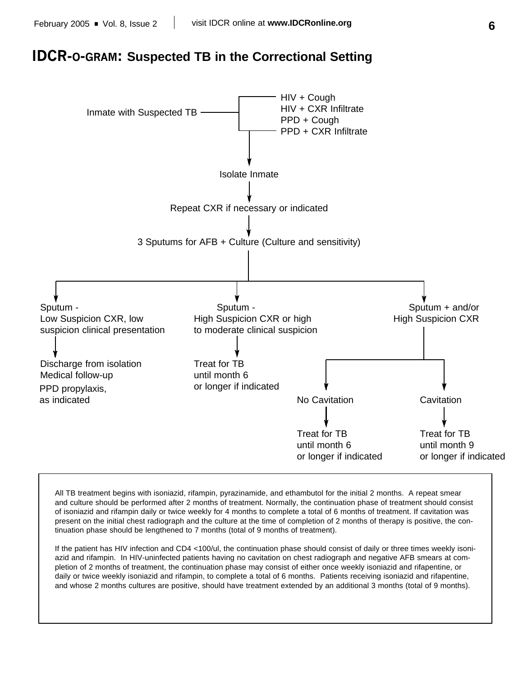### **IDCR-O-GRAM: Suspected TB in the Correctional Setting**



All TB treatment begins with isoniazid, rifampin, pyrazinamide, and ethambutol for the initial 2 months. A repeat smear and culture should be performed after 2 months of treatment. Normally, the continuation phase of treatment should consist of isoniazid and rifampin daily or twice weekly for 4 months to complete a total of 6 months of treatment. If cavitation was present on the initial chest radiograph and the culture at the time of completion of 2 months of therapy is positive, the continuation phase should be lengthened to 7 months (total of 9 months of treatment).

If the patient has HIV infection and CD4 <100/ul, the continuation phase should consist of daily or three times weekly isoniazid and rifampin. In HIV-uninfected patients having no cavitation on chest radiograph and negative AFB smears at completion of 2 months of treatment, the continuation phase may consist of either once weekly isoniazid and rifapentine, or daily or twice weekly isoniazid and rifampin, to complete a total of 6 months. Patients receiving isoniazid and rifapentine, and whose 2 months cultures are positive, should have treatment extended by an additional 3 months (total of 9 months).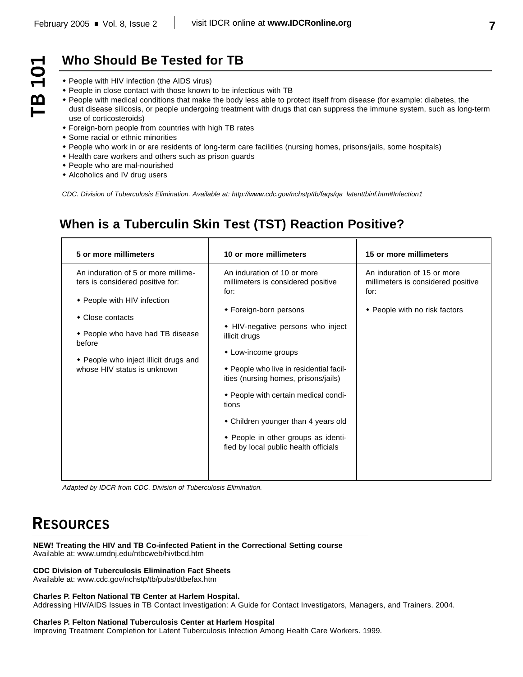$\overline{\phantom{0}}$ 

T<sub>B</sub>

# **Who Should Be Tested for TB**

- People with HIV infection (the AIDS virus)
- People in close contact with those known to be infectious with TB
- People with medical conditions that make the body less able to protect itself from disease (for example: diabetes, the dust disease silicosis, or people undergoing treatment with drugs that can suppress the immune system, such as long-term use of corticosteroids)
- Foreign-born people from countries with high TB rates
- Some racial or ethnic minorities
- People who work in or are residents of long-term care facilities (nursing homes, prisons/jails, some hospitals)
- Health care workers and others such as prison guards
- People who are mal-nourished
- Alcoholics and IV drug users

*CDC. Division of Tuberculosis Elimination. Available at: http://www.cdc.gov/nchstp/tb/faqs/qa\_latenttbinf.htm#Infection1*

## **When is a Tuberculin Skin Test (TST) Reaction Positive?**

| 5 or more millimeters                                                                                                                                                                                                                            | 10 or more millimeters                                                                                                                                                                                                                                                                                                                                                                                                                      | 15 or more millimeters                                                                                     |
|--------------------------------------------------------------------------------------------------------------------------------------------------------------------------------------------------------------------------------------------------|---------------------------------------------------------------------------------------------------------------------------------------------------------------------------------------------------------------------------------------------------------------------------------------------------------------------------------------------------------------------------------------------------------------------------------------------|------------------------------------------------------------------------------------------------------------|
| An induration of 5 or more millime-<br>ters is considered positive for:<br>◆ People with HIV infection<br>• Close contacts<br>◆ People who have had TB disease<br>before<br>• People who inject illicit drugs and<br>whose HIV status is unknown | An induration of 10 or more<br>millimeters is considered positive<br>for:<br>◆ Foreign-born persons<br>• HIV-negative persons who inject<br>illicit drugs<br>• Low-income groups<br>◆ People who live in residential facil-<br>ities (nursing homes, prisons/jails)<br>◆ People with certain medical condi-<br>tions<br>• Children younger than 4 years old<br>• People in other groups as identi-<br>fied by local public health officials | An induration of 15 or more<br>millimeters is considered positive<br>for:<br>• People with no risk factors |

*Adapted by IDCR from CDC. Division of Tuberculosis Elimination.*

# **RESOURCES**

**NEW! Treating the HIV and TB Co-infected Patient in the Correctional Setting course**  Available at: www.umdnj.edu/ntbcweb/hivtbcd.htm

### **CDC Division of Tuberculosis Elimination Fact Sheets**

Available at: www.cdc.gov/nchstp/tb/pubs/dtbefax.htm

#### **Charles P. Felton National TB Center at Harlem Hospital.**

Addressing HIV/AIDS Issues in TB Contact Investigation: A Guide for Contact Investigators, Managers, and Trainers. 2004.

#### **Charles P. Felton National Tuberculosis Center at Harlem Hospital**

Improving Treatment Completion for Latent Tuberculosis Infection Among Health Care Workers. 1999.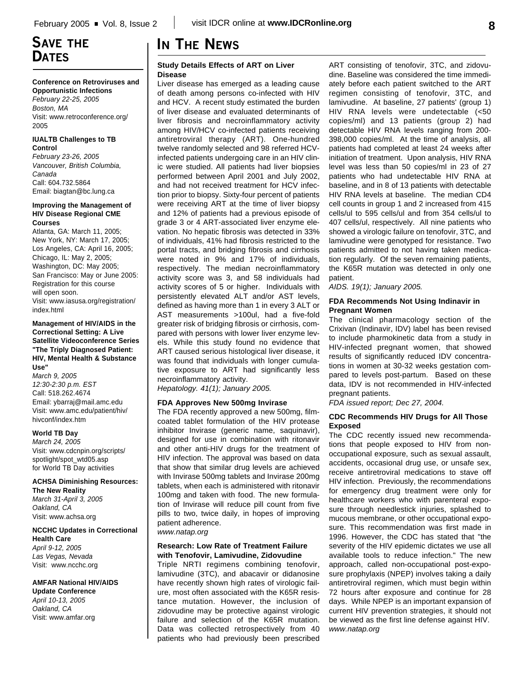### **Conference on Retroviruses and**

**Opportunistic Infections** *February 22-25, 2005 Boston, MA* Visit: www.retroconference.org/ 2005

### **IUALTB Challenges to TB**

**Control** *February 23-26, 2005 Vancouver, British Columbia, Canada* Call: 604.732.5864 Email: biagtan@bc.lung.ca

#### **Improving the Management of HIV Disease Regional CME Courses**

Atlanta, GA: March 11, 2005; New York, NY: March 17, 2005; Los Angeles, CA: April 16, 2005; Chicago, IL: May 2, 2005; Washington, DC: May 2005; San Francisco: May or June 2005: Registration for this course will open soon. Visit: www.iasusa.org/registration/ index.html

### **Management of HIV/AIDS in the Correctional Setting: A Live Satellite Videoconference Series "The Triply Diagnosed Patient: HIV, Mental Health & Substance Use"**

*March 9, 2005 12:30-2:30 p.m. EST* Call: 518.262.4674 Email: ybarraj@mail.amc.edu Visit: www.amc.edu/patient/hiv/ hivconf/index.htm

### **World TB Day**

*March 24, 2005* Visit: www.cdcnpin.org/scripts/ spotlight/spot\_wtd05.asp for World TB Day activities

### **ACHSA Diminishing Resources:**

**The New Reality** *March 31-April 3, 2005 Oakland, CA* Visit: www.achsa.org

#### **NCCHC Updates in Correctional Health Care**

*April 9-12, 2005 Las Vegas, Nevada* Visit: www.ncchc.org

### **AMFAR National HIV/AIDS**

**Update Conference** *April 10-13, 2005 Oakland, CA* Visit: www.amfar.org

### **Study Details Effects of ART on Liver Disease**

Liver disease has emerged as a leading cause of death among persons co-infected with HIV and HCV. A recent study estimated the burden of liver disease and evaluated determinants of liver fibrosis and necroinflammatory activity among HIV/HCV co-infected patients receiving antiretroviral therapy (ART). One-hundred twelve randomly selected and 98 referred HCVinfected patients undergoing care in an HIV clinic were studied. All patients had liver biopsies performed between April 2001 and July 2002, and had not received treatment for HCV infection prior to biopsy. Sixty-four percent of patients were receiving ART at the time of liver biopsy and 12% of patients had a previous episode of grade 3 or 4 ART-associated liver enzyme elevation. No hepatic fibrosis was detected in 33% of individuals, 41% had fibrosis restricted to the portal tracts, and bridging fibrosis and cirrhosis were noted in 9% and 17% of individuals, respectively. The median necroinflammatory activity score was 3, and 58 individuals had activity scores of 5 or higher. Individuals with persistently elevated ALT and/or AST levels, defined as having more than 1 in every 3 ALT or AST measurements >100ul, had a five-fold greater risk of bridging fibrosis or cirrhosis, compared with persons with lower liver enzyme levels. While this study found no evidence that ART caused serious histological liver disease, it was found that individuals with longer cumulative exposure to ART had significantly less necroinflammatory activity.

*Hepatology. 41(1); January 2005.*

### **FDA Approves New 500mg Invirase**

The FDA recently approved a new 500mg, filmcoated tablet formulation of the HIV protease inhibitor Invirase (generic name, saquinavir), designed for use in combination with ritonavir and other anti-HIV drugs for the treatment of HIV infection. The approval was based on data that show that similar drug levels are achieved with Invirase 500mg tablets and Invirase 200mg tablets, when each is administered with ritonavir 100mg and taken with food. The new formulation of Invirase will reduce pill count from five pills to two, twice daily, in hopes of improving patient adherence. *www.natap.org*

### **Research: Low Rate of Treatment Failure with Tenofovir, Lamivudine, Zidovudine**

Triple NRTI regimens combining tenofovir, lamivudine (3TC), and abacavir or didanosine have recently shown high rates of virologic failure, most often associated with the K65R resistance mutation. However, the inclusion of zidovudine may be protective against virologic failure and selection of the K65R mutation. Data was collected retrospectively from 40 patients who had previously been prescribed ART consisting of tenofovir, 3TC, and zidovudine. Baseline was considered the time immediately before each patient switched to the ART regimen consisting of tenofovir, 3TC, and lamivudine. At baseline, 27 patients' (group 1) HIV RNA levels were undetectable (<50 copies/ml) and 13 patients (group 2) had detectable HIV RNA levels ranging from 200- 398,000 copies/ml. At the time of analysis, all patients had completed at least 24 weeks after initiation of treatment. Upon analysis, HIV RNA level was less than 50 copies/ml in 23 of 27 patients who had undetectable HIV RNA at baseline, and in 8 of 13 patients with detectable HIV RNA levels at baseline. The median CD4 cell counts in group 1 and 2 increased from 415 cells/ul to 595 cells/ul and from 354 cells/ul to 407 cells/ul, respectively. All nine patients who showed a virologic failure on tenofovir, 3TC, and lamivudine were genotyped for resistance. Two patients admitted to not having taken medication regularly. Of the seven remaining patients, the K65R mutation was detected in only one patient.

*AIDS. 19(1); January 2005.*

### **FDA Recommends Not Using Indinavir in Pregnant Women**

The clinical pharmacology section of the Crixivan (Indinavir, IDV) label has been revised to include pharmokinetic data from a study in HIV-infected pregnant women, that showed results of significantly reduced IDV concentrations in women at 30-32 weeks gestation compared to levels post-partum. Based on these data, IDV is not recommended in HIV-infected pregnant patients.

*FDA issued report; Dec 27, 2004.*

### **CDC Recommends HIV Drugs for All Those Exposed**

The CDC recently issued new recommendations that people exposed to HIV from nonoccupational exposure, such as sexual assault, accidents, occasional drug use, or unsafe sex, receive antiretroviral medications to stave off HIV infection. Previously, the recommendations for emergency drug treatment were only for healthcare workers who with parenteral exposure through needlestick injuries, splashed to mucous membrane, or other occupational exposure. This recommendation was first made in 1996. However, the CDC has stated that "the severity of the HIV epidemic dictates we use all available tools to reduce infection." The new approach, called non-occupational post-exposure prophylaxis (NPEP) involves taking a daily antiretroviral regimen, which must begin within 72 hours after exposure and continue for 28 days. While NPEP is an important expansion of current HIV prevention strategies, it should not be viewed as the first line defense against HIV. *www.natap.org*